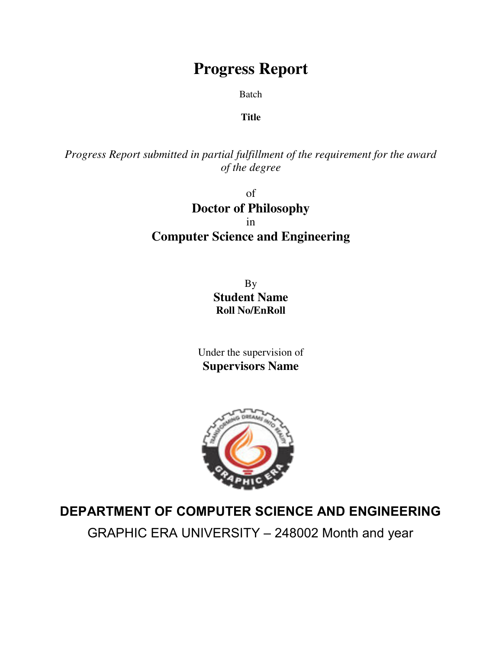# **Progress Report**

Batch

### **Title**

*Progress Report submitted in partial fulfillment of the requirement for the award of the degree*

> of **Doctor of Philosophy** in **Computer Science and Engineering**

> > By **Student Name Roll No/EnRoll**

Under the supervision of **Supervisors Name**



## **DEPARTMENT OF COMPUTER SCIENCE AND ENGINEERING**

GRAPHIC ERA UNIVERSITY – 248002 Month and year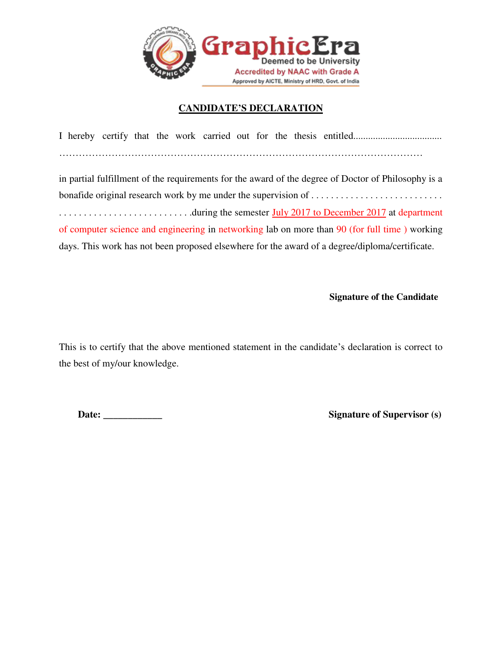

#### **CANDIDATE'S DECLARATION**

I hereby certify that the work carried out for the thesis entitled.................................... …………………………………………………………………………………………………

in partial fulfillment of the requirements for the award of the degree of Doctor of Philosophy is a bonafide original research work by me under the supervision of . . . . . . . . . . . . . . . . . . . . . . . . . . . . . . . . . . . . . . . . . . . . . . . . . . . . . .during the semester July 2017 to December 2017 at department of computer science and engineering in networking lab on more than 90 (for full time ) working days. This work has not been proposed elsewhere for the award of a degree/diploma/certificate.

**Signature of the Candidate**

This is to certify that the above mentioned statement in the candidate's declaration is correct to the best of my/our knowledge.

**Date: \_\_\_\_\_\_\_\_\_\_\_\_ Signature of Supervisor (s)**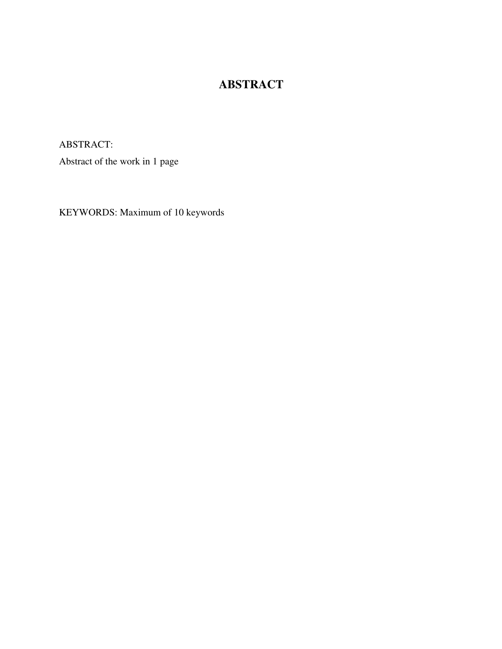### **ABSTRACT**

ABSTRACT:

Abstract of the work in 1 page

KEYWORDS: Maximum of 10 keywords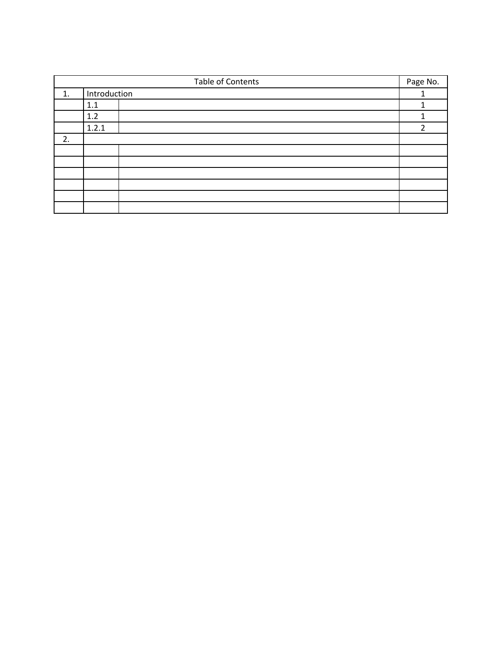|    | Table of Contents | Page No.       |
|----|-------------------|----------------|
| 1. | Introduction      |                |
|    | 1.1               |                |
|    | 1.2               |                |
|    | 1.2.1             | $\overline{2}$ |
| 2. |                   |                |
|    |                   |                |
|    |                   |                |
|    |                   |                |
|    |                   |                |
|    |                   |                |
|    |                   |                |